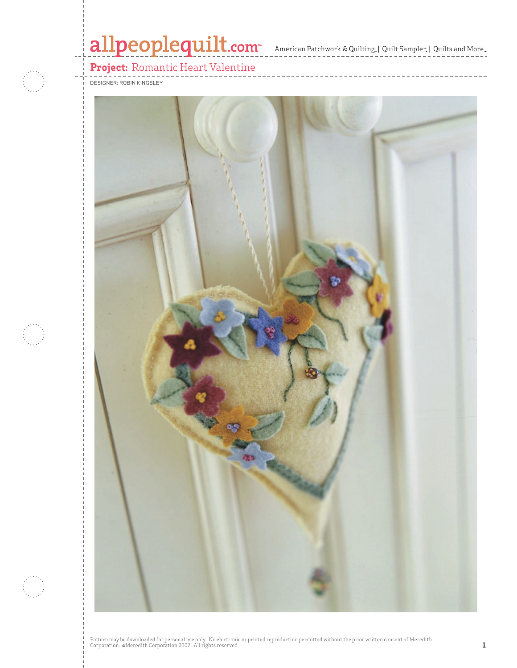# allpeoplequilt.com<sup>-</sup> American Patchwork & Quilting, | Quilt Sampler, | Quilts and More..



**Project:** Romantic Heart Valentine



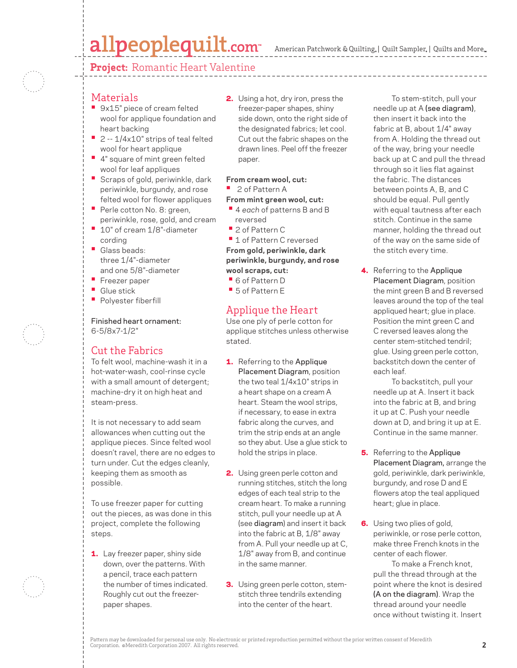# allpeoplequilt.com

American Patchwork & Quilting,  $|$  Quilt Sampler,  $|$  Quilts and More,



## **Materials**

- 9x15" piece of cream felted wool for applique foundation and heart backing
- 2 -- 1/4x10" strips of teal felted wool for heart applique
- 4" square of mint green felted wool for leaf appliques
- Scraps of gold, periwinkle, dark periwinkle, burgundy, and rose felted wool for flower appliques
- Perle cotton No. 8: green, periwinkle, rose, gold, and cream
- 10" of cream 1/8"-diameter cording
- Glass beads: three 1/4"-diameter and one 5/8"-diameter
- Freezer paper
- Glue stick
- Polyester fiberfill

### Finished heart ornament: 6-5/8x7-1/2"

# Cut the Fabrics

To felt wool, machine-wash it in a hot-water-wash, cool-rinse cycle with a small amount of detergent; machine-dry it on high heat and steam-press.

It is not necessary to add seam allowances when cutting out the applique pieces. Since felted wool doesn't ravel, there are no edges to turn under. Cut the edges cleanly, keeping them as smooth as possible.

To use freezer paper for cutting out the pieces, as was done in this project, complete the following steps.

1. Lay freezer paper, shiny side down, over the patterns. With a pencil, trace each pattern the number of times indicated. Roughly cut out the freezerpaper shapes.

2. Using a hot, dry iron, press the freezer-paper shapes, shiny side down, onto the right side of the designated fabrics; let cool. Cut out the fabric shapes on the drawn lines. Peel off the freezer paper.

### **From cream wool, cut:**

**•** 2 of Pattern A

### **From mint green wool, cut:**

- 4 *each* of patterns B and B reversed
- 2 of Pattern C

 **•** 1 of Pattern C reversed **From gold, periwinkle, dark periwinkle, burgundy, and rose wool scraps, cut:**

- 6 of Pattern D
- 5 of Pattern E

# Applique the Heart

Use one ply of perle cotton for applique stitches unless otherwise stated.

- 1. Referring to the Applique Placement Diagram, position the two teal 1/4x10" strips in a heart shape on a cream A heart. Steam the wool strips, if necessary, to ease in extra fabric along the curves, and trim the strip ends at an angle so they abut. Use a glue stick to hold the strips in place.
- 2. Using green perle cotton and running stitches, stitch the long edges of each teal strip to the cream heart. To make a running stitch, pull your needle up at A (see diagram) and insert it back into the fabric at B, 1/8" away from A. Pull your needle up at C, 1/8" away from B, and continue in the same manner.
- **3.** Using green perle cotton, stemstitch three tendrils extending into the center of the heart.

To stem-stitch, pull your needle up at A (see diagram), then insert it back into the fabric at B, about 1/4" away from A. Holding the thread out of the way, bring your needle back up at C and pull the thread through so it lies flat against the fabric. The distances between points A, B, and C should be equal. Pull gently with equal tautness after each stitch. Continue in the same manner, holding the thread out of the way on the same side of the stitch every time.

4. Referring to the Applique Placement Diagram, position the mint green B and B reversed leaves around the top of the teal appliqued heart; glue in place. Position the mint green C and C reversed leaves along the center stem-stitched tendril; glue. Using green perle cotton, backstitch down the center of each leaf.

 To backstitch, pull your needle up at A. Insert it back into the fabric at B, and bring it up at C. Push your needle down at D, and bring it up at E. Continue in the same manner.

- **5.** Referring to the Applique Placement Diagram, arrange the gold, periwinkle, dark periwinkle, burgundy, and rose D and E flowers atop the teal appliqued heart; glue in place.
- **6.** Using two plies of gold, periwinkle, or rose perle cotton, make three French knots in the center of each flower.

 To make a French knot, pull the thread through at the point where the knot is desired (A on the diagram). Wrap the thread around your needle once without twisting it. Insert

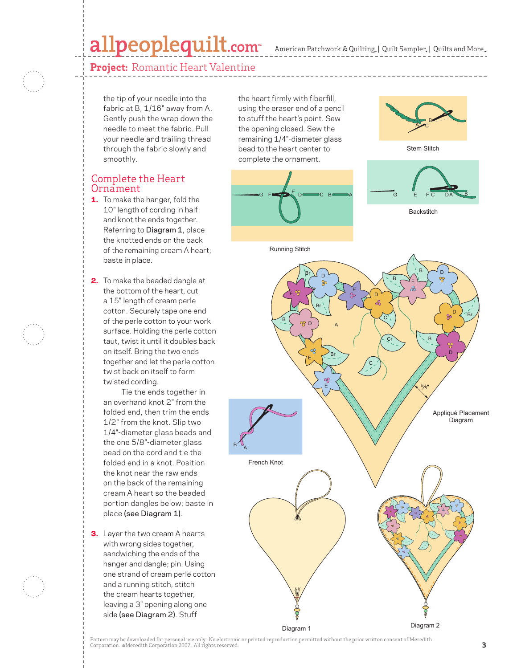American Patchwork & Quilting, | Quilt Sampler, | Quilts and More llt Sampler<sub>®</sub> |

**Project:** Romantic Heart Valentine

the tip of your needle into the fabric at B, 1/16" away from A. Gently push the wrap down the needle to meet the fabric. Pull your needle and trailing thread through the fabric slowly and smoothly.

# Complete the Heart Ornament

- 1. To make the hanger, fold the 10" length of cording in half and knot the ends together. Referring to Diagram 1, place the knotted ends on the back of the remaining cream A heart; baste in place.
- 2. To make the beaded dangle at the bottom of the heart, cut a 15" length of cream perle cotton. Securely tape one end of the perle cotton to your work surface. Holding the perle cotton taut, twist it until it doubles back on itself. Bring the two ends together and let the perle cotton twist back on itself to form twisted cording.

Tie the ends together in an overhand knot 2" from the folded end, then trim the ends 1/2" from the knot. Slip two 1/4"-diameter glass beads and the one 5/8"-diameter glass bead on the cord and tie the folded end in a knot. Position the knot near the raw ends on the back of the remaining cream A heart so the beaded portion dangles below; baste in place (see Diagram 1).

**3.** Layer the two cream A hearts with wrong sides together, sandwiching the ends of the hanger and dangle; pin. Using one strand of cream perle cotton and a running stitch, stitch the cream hearts together, leaving a 3" opening along one side (see Diagram 2). Stuff

the heart firmly with fiberfill, using the eraser end of a pencil to stuff the heart's point. Sew the opening closed. Sew the remaining 1/4"-diameter glass bead to the heart center to complete the ornament.





100222493





Running Stitch



Pattern may be downloaded for personal use only. No electronic or printed reproduction permitted without the prior written consent of Meredith Corporation. ©Meredith Corporation 2007. All rights reserved. **3**